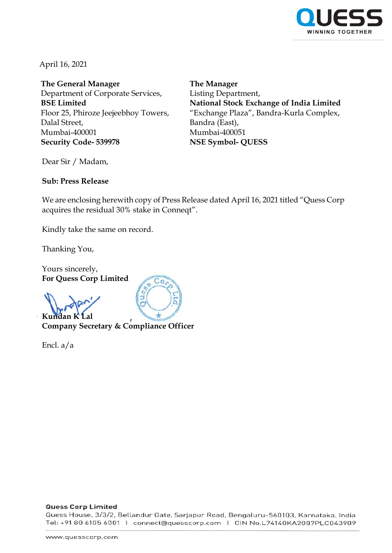

April 16, 2021

**The General Manager** Department of Corporate Services, **BSE Limited** Floor 25, Phiroze Jeejeebhoy Towers, Dalal Street, Mumbai-400001 **Security Code- 539978**

**The Manager** Listing Department, **National Stock Exchange of India Limited** "Exchange Plaza", Bandra-Kurla Complex, Bandra (East), Mumbai-400051 **NSE Symbol- QUESS**

Dear Sir / Madam,

# **Sub: Press Release**

We are enclosing herewith copy of Press Release dated April 16, 2021 titled "Quess Corp acquires the residual 30% stake in Conneqt".

Kindly take the same on record.

Thanking You,

Yours sincerely, **For Quess Corp Limited**

Kundan K<sup>T</sup> **Company Secretary & Compliance Officer**

 $Co$ 

Encl. a/a

### **Quess Corp Limited**

Quess House, 3/3/2, Bellandur Gate, Sarjapur Road, Bengaluru-560103, Karnataka, India Tel: +91 80 6105 6001 | connect@quesscorp.com | CIN No.L74140KA2007PLC043909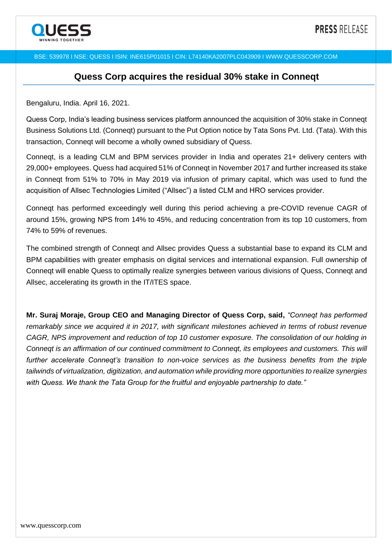

### BSE: 539978 I NSE: QUESS I ISIN: INE615P01015 I CIN: L74140KA2007PLC043909 I [WWW.QUESSCORP.COM](http://www.quesscorp.com/)

# **Quess Corp acquires the residual 30% stake in Conneqt**

Bengaluru, India. April 16, 2021.

Quess Corp, India's leading business services platform announced the acquisition of 30% stake in Conneqt Business Solutions Ltd. (Conneqt) pursuant to the Put Option notice by Tata Sons Pvt. Ltd. (Tata). With this transaction, Conneqt will become a wholly owned subsidiary of Quess.

Conneqt, is a leading CLM and BPM services provider in India and operates 21+ delivery centers with 29,000+ employees. Quess had acquired 51% of Conneqt in November 2017 and further increased its stake in Conneqt from 51% to 70% in May 2019 via infusion of primary capital, which was used to fund the acquisition of Allsec Technologies Limited ("Allsec") a listed CLM and HRO services provider.

Conneqt has performed exceedingly well during this period achieving a pre-COVID revenue CAGR of around 15%, growing NPS from 14% to 45%, and reducing concentration from its top 10 customers, from 74% to 59% of revenues.

The combined strength of Conneqt and Allsec provides Quess a substantial base to expand its CLM and BPM capabilities with greater emphasis on digital services and international expansion. Full ownership of Conneqt will enable Quess to optimally realize synergies between various divisions of Quess, Conneqt and Allsec, accelerating its growth in the IT/ITES space.

**Mr. Suraj Moraje, Group CEO and Managing Director of Quess Corp, said,** *"Conneqt has performed remarkably since we acquired it in 2017, with significant milestones achieved in terms of robust revenue CAGR, NPS improvement and reduction of top 10 customer exposure. The consolidation of our holding in Conneqt is an affirmation of our continued commitment to Conneqt, its employees and customers. This will further accelerate Conneqt's transition to non-voice services as the business benefits from the triple tailwinds of virtualization, digitization, and automation while providing more opportunities to realize synergies with Quess. We thank the Tata Group for the fruitful and enjoyable partnership to date."*